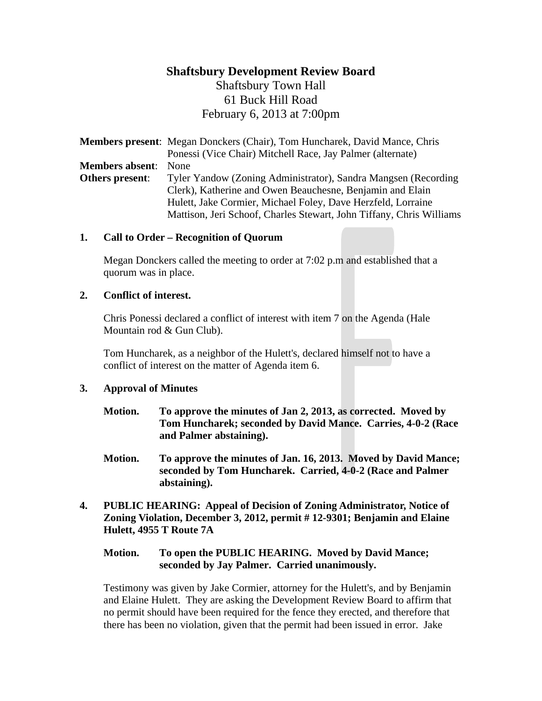# **Shaftsbury Development Review Board** Shaftsbury Town Hall 61 Buck Hill Road

February 6, 2013 at 7:00pm

**Members present**: Megan Donckers (Chair), Tom Huncharek, David Mance, Chris Ponessi (Vice Chair) Mitchell Race, Jay Palmer (alternate) **Members absent**: None **Others present:** Tyler Yandow (Zoning Administrator), Sandra Mangsen (Recording Clerk), Katherine and Owen Beauchesne, Benjamin and Elain Hulett, Jake Cormier, Michael Foley, Dave Herzfeld, Lorraine Mattison, Jeri Schoof, Charles Stewart, John Tiffany, Chris Williams

## **1. Call to Order – Recognition of Quorum**

Megan Donckers called the meeting to order at 7:02 p.m and established that a quorum was in place.

#### **2. Conflict of interest.**

Chris Ponessi declared a conflict of interest with item 7 on the Agenda (Hale Mountain rod & Gun Club).

Tom Huncharek, as a neighbor of the Hulett's, declared himself not to have a conflict of interest on the matter of Agenda item 6.

## **3. Approval of Minutes**

- **Motion. To approve the minutes of Jan 2, 2013, as corrected. Moved by Tom Huncharek; seconded by David Mance. Carries, 4-0-2 (Race and Palmer abstaining).**
- **Motion. To approve the minutes of Jan. 16, 2013. Moved by David Mance; seconded by Tom Huncharek. Carried, 4-0-2 (Race and Palmer abstaining).**
- **4. PUBLIC HEARING: Appeal of Decision of Zoning Administrator, Notice of Zoning Violation, December 3, 2012, permit # 12-9301; Benjamin and Elaine Hulett, 4955 T Route 7A**

#### **Motion. To open the PUBLIC HEARING. Moved by David Mance; seconded by Jay Palmer. Carried unanimously.**

Testimony was given by Jake Cormier, attorney for the Hulett's, and by Benjamin and Elaine Hulett. They are asking the Development Review Board to affirm that no permit should have been required for the fence they erected, and therefore that there has been no violation, given that the permit had been issued in error. Jake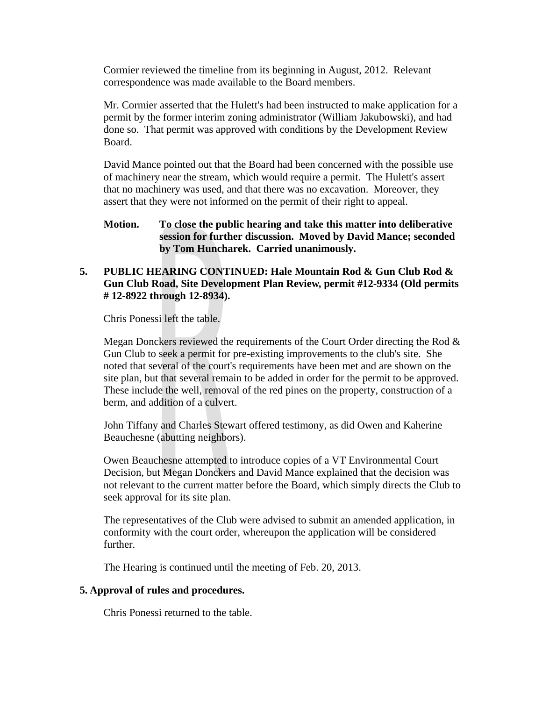Cormier reviewed the timeline from its beginning in August, 2012. Relevant correspondence was made available to the Board members.

Mr. Cormier asserted that the Hulett's had been instructed to make application for a permit by the former interim zoning administrator (William Jakubowski), and had done so. That permit was approved with conditions by the Development Review Board.

David Mance pointed out that the Board had been concerned with the possible use of machinery near the stream, which would require a permit. The Hulett's assert that no machinery was used, and that there was no excavation. Moreover, they assert that they were not informed on the permit of their right to appeal.

## **Motion. To close the public hearing and take this matter into deliberative session for further discussion. Moved by David Mance; seconded by Tom Huncharek. Carried unanimously.**

## **5. PUBLIC HEARING CONTINUED: Hale Mountain Rod & Gun Club Rod & Gun Club Road, Site Development Plan Review, permit #12-9334 (Old permits # 12-8922 through 12-8934).**

Chris Ponessi left the table.

Megan Donckers reviewed the requirements of the Court Order directing the Rod & Gun Club to seek a permit for pre-existing improvements to the club's site. She noted that several of the court's requirements have been met and are shown on the site plan, but that several remain to be added in order for the permit to be approved. These include the well, removal of the red pines on the property, construction of a berm, and addition of a culvert.

John Tiffany and Charles Stewart offered testimony, as did Owen and Kaherine Beauchesne (abutting neighbors).

Owen Beauchesne attempted to introduce copies of a VT Environmental Court Decision, but Megan Donckers and David Mance explained that the decision was not relevant to the current matter before the Board, which simply directs the Club to seek approval for its site plan.

The representatives of the Club were advised to submit an amended application, in conformity with the court order, whereupon the application will be considered further.

The Hearing is continued until the meeting of Feb. 20, 2013.

#### **5. Approval of rules and procedures.**

Chris Ponessi returned to the table.